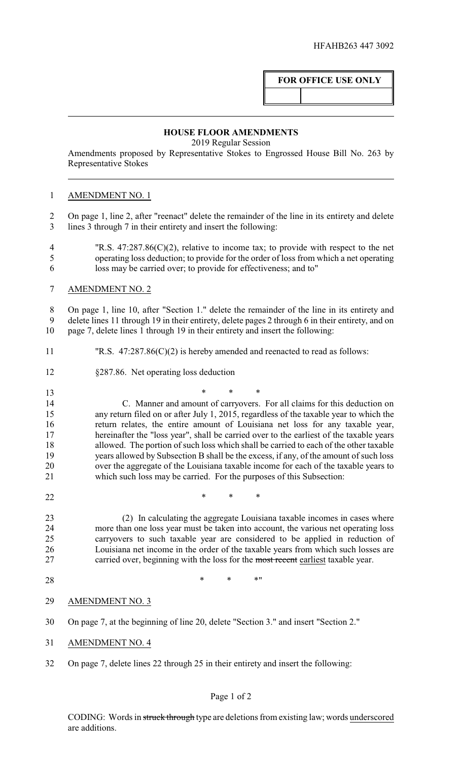# **FOR OFFICE USE ONLY**

#### **HOUSE FLOOR AMENDMENTS**

2019 Regular Session

Amendments proposed by Representative Stokes to Engrossed House Bill No. 263 by Representative Stokes

## AMENDMENT NO. 1

 On page 1, line 2, after "reenact" delete the remainder of the line in its entirety and delete lines 3 through 7 in their entirety and insert the following:

- "R.S. 47:287.86(C)(2), relative to income tax; to provide with respect to the net operating loss deduction; to provide for the order of loss from which a net operating loss may be carried over; to provide for effectiveness; and to"
- AMENDMENT NO. 2

 On page 1, line 10, after "Section 1." delete the remainder of the line in its entirety and delete lines 11 through 19 in their entirety, delete pages 2 through 6 in their entirety, and on page 7, delete lines 1 through 19 in their entirety and insert the following:

- "R.S. 47:287.86(C)(2) is hereby amended and reenacted to read as follows:
- §287.86. Net operating loss deduction
- \* \* \* C. Manner and amount of carryovers. For all claims for this deduction on any return filed on or after July 1, 2015, regardless of the taxable year to which the return relates, the entire amount of Louisiana net loss for any taxable year, hereinafter the "loss year", shall be carried over to the earliest of the taxable years allowed. The portion of such loss which shall be carried to each of the other taxable years allowed by Subsection B shall be the excess, if any, of the amount of such loss over the aggregate of the Louisiana taxable income for each of the taxable years to which such loss may be carried. For the purposes of this Subsection:
- **\*** \* \* \*

 (2) In calculating the aggregate Louisiana taxable incomes in cases where 24 more than one loss year must be taken into account, the various net operating loss<br>25 carryovers to such taxable vear are considered to be applied in reduction of carryovers to such taxable year are considered to be applied in reduction of Louisiana net income in the order of the taxable years from which such losses are 27 carried over, beginning with the loss for the most recent earliest taxable year.

28 \* \* \* \* \* \*

## AMENDMENT NO. 3

- On page 7, at the beginning of line 20, delete "Section 3." and insert "Section 2."
- AMENDMENT NO. 4
- On page 7, delete lines 22 through 25 in their entirety and insert the following:

## Page 1 of 2

CODING: Words in struck through type are deletions from existing law; words underscored are additions.